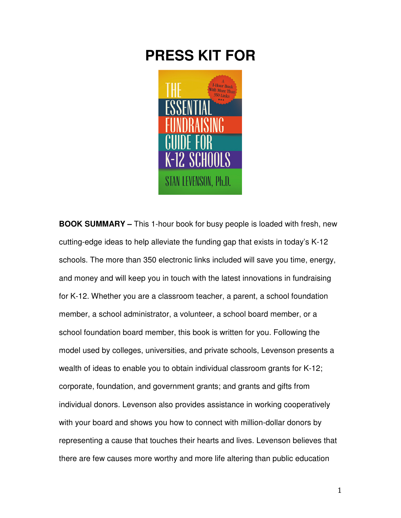# **PRESS KIT FOR**



**BOOK SUMMARY –** This 1-hour book for busy people is loaded with fresh, new cutting-edge ideas to help alleviate the funding gap that exists in today's K-12 schools. The more than 350 electronic links included will save you time, energy, and money and will keep you in touch with the latest innovations in fundraising for K-12. Whether you are a classroom teacher, a parent, a school foundation member, a school administrator, a volunteer, a school board member, or a school foundation board member, this book is written for you. Following the model used by colleges, universities, and private schools, Levenson presents a wealth of ideas to enable you to obtain individual classroom grants for K-12; corporate, foundation, and government grants; and grants and gifts from individual donors. Levenson also provides assistance in working cooperatively with your board and shows you how to connect with million-dollar donors by representing a cause that touches their hearts and lives. Levenson believes that there are few causes more worthy and more life altering than public education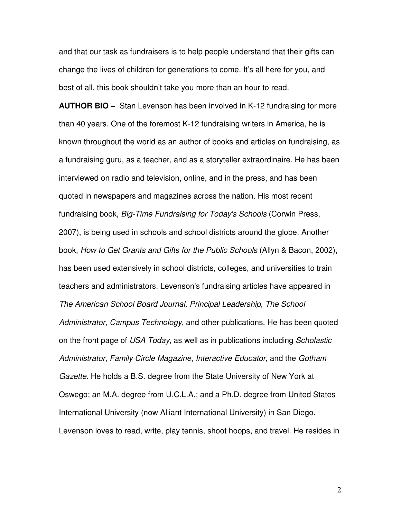and that our task as fundraisers is to help people understand that their gifts can change the lives of children for generations to come. It's all here for you, and best of all, this book shouldn't take you more than an hour to read.

**AUTHOR BIO –** Stan Levenson has been involved in K-12 fundraising for more than 40 years. One of the foremost K-12 fundraising writers in America, he is known throughout the world as an author of books and articles on fundraising, as a fundraising guru, as a teacher, and as a storyteller extraordinaire. He has been interviewed on radio and television, online, and in the press, and has been quoted in newspapers and magazines across the nation. His most recent fundraising book, *Big-Time Fundraising for Today's Schools* (Corwin Press, 2007), is being used in schools and school districts around the globe. Another book, How to Get Grants and Gifts for the Public Schools (Allyn & Bacon, 2002), has been used extensively in school districts, colleges, and universities to train teachers and administrators. Levenson's fundraising articles have appeared in The American School Board Journal, Principal Leadership, The School Administrator, Campus Technology, and other publications. He has been quoted on the front page of USA Today, as well as in publications including Scholastic Administrator, Family Circle Magazine, Interactive Educator, and the Gotham Gazette. He holds a B.S. degree from the State University of New York at Oswego; an M.A. degree from U.C.L.A.; and a Ph.D. degree from United States International University (now Alliant International University) in San Diego. Levenson loves to read, write, play tennis, shoot hoops, and travel. He resides in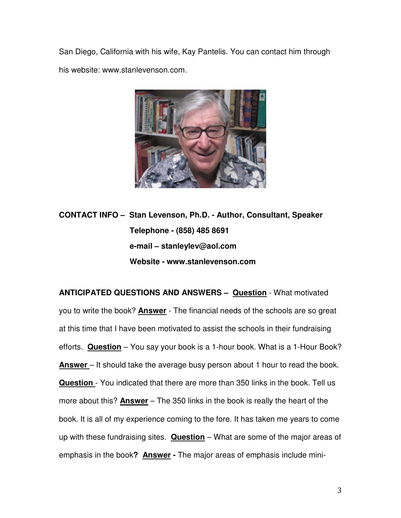San Diego, California with his wife, Kay Pantelis. You can contact him through his website: www.stanlevenson.com.



**CONTACT INFO – Stan Levenson, Ph.D. - Author, Consultant, Speaker Telephone - (858) 485 8691 e-mail – stanleylev@aol.com Website - www.stanlevenson.com** 

**ANTICIPATED QUESTIONS AND ANSWERS – Question** - What motivated you to write the book? **Answer** - The financial needs of the schools are so great at this time that I have been motivated to assist the schools in their fundraising efforts. **Question** – You say your book is a 1-hour book. What is a 1-Hour Book? **Answer** – It should take the average busy person about 1 hour to read the book. **Question** - You indicated that there are more than 350 links in the book. Tell us more about this? **Answer** – The 350 links in the book is really the heart of the book. It is all of my experience coming to the fore. It has taken me years to come up with these fundraising sites. **Question** – What are some of the major areas of emphasis in the book**? Answer -** The major areas of emphasis include mini-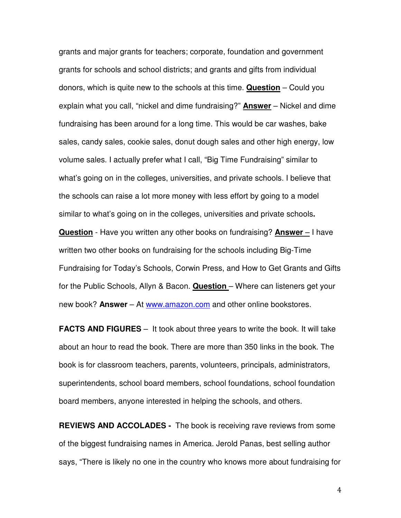grants and major grants for teachers; corporate, foundation and government grants for schools and school districts; and grants and gifts from individual donors, which is quite new to the schools at this time. **Question** – Could you explain what you call, "nickel and dime fundraising?" **Answer** – Nickel and dime fundraising has been around for a long time. This would be car washes, bake sales, candy sales, cookie sales, donut dough sales and other high energy, low volume sales. I actually prefer what I call, "Big Time Fundraising" similar to what's going on in the colleges, universities, and private schools. I believe that the schools can raise a lot more money with less effort by going to a model similar to what's going on in the colleges, universities and private schools**. Question** - Have you written any other books on fundraising? **Answer** – I have written two other books on fundraising for the schools including Big-Time Fundraising for Today's Schools, Corwin Press, and How to Get Grants and Gifts for the Public Schools, Allyn & Bacon. **Question** – Where can listeners get your new book? **Answer** – At www.amazon.com and other online bookstores.

**FACTS AND FIGURES** – It took about three years to write the book. It will take about an hour to read the book. There are more than 350 links in the book. The book is for classroom teachers, parents, volunteers, principals, administrators, superintendents, school board members, school foundations, school foundation board members, anyone interested in helping the schools, and others.

**REVIEWS AND ACCOLADES -** The book is receiving rave reviews from some of the biggest fundraising names in America. Jerold Panas, best selling author says, "There is likely no one in the country who knows more about fundraising for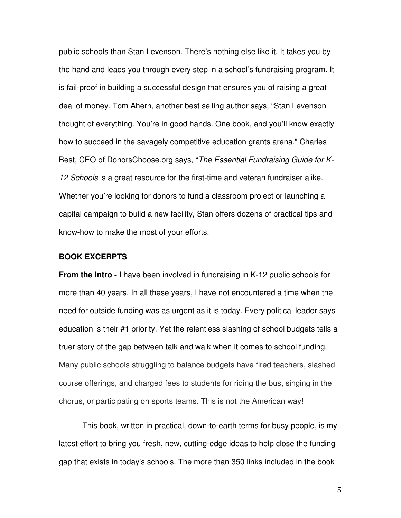public schools than Stan Levenson. There's nothing else like it. It takes you by the hand and leads you through every step in a school's fundraising program. It is fail-proof in building a successful design that ensures you of raising a great deal of money. Tom Ahern, another best selling author says, "Stan Levenson thought of everything. You're in good hands. One book, and you'll know exactly how to succeed in the savagely competitive education grants arena." Charles Best, CEO of DonorsChoose.org says, "The Essential Fundraising Guide for K-12 Schools is a great resource for the first-time and veteran fundraiser alike. Whether you're looking for donors to fund a classroom project or launching a capital campaign to build a new facility, Stan offers dozens of practical tips and know-how to make the most of your efforts.

# **BOOK EXCERPTS**

**From the Intro -** I have been involved in fundraising in K-12 public schools for more than 40 years. In all these years, I have not encountered a time when the need for outside funding was as urgent as it is today. Every political leader says education is their #1 priority. Yet the relentless slashing of school budgets tells a truer story of the gap between talk and walk when it comes to school funding. Many public schools struggling to balance budgets have fired teachers, slashed course offerings, and charged fees to students for riding the bus, singing in the chorus, or participating on sports teams. This is not the American way!

This book, written in practical, down-to-earth terms for busy people, is my latest effort to bring you fresh, new, cutting-edge ideas to help close the funding gap that exists in today's schools. The more than 350 links included in the book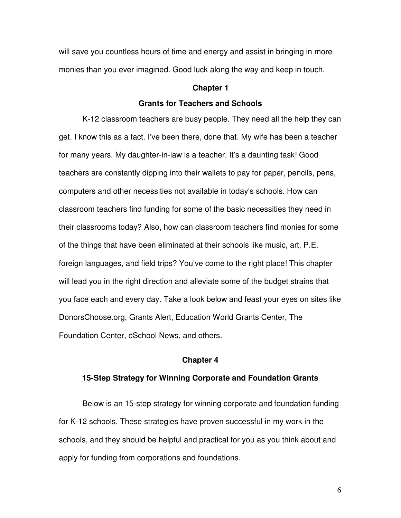will save you countless hours of time and energy and assist in bringing in more monies than you ever imagined. Good luck along the way and keep in touch.

#### **Chapter 1**

### **Grants for Teachers and Schools**

K-12 classroom teachers are busy people. They need all the help they can get. I know this as a fact. I've been there, done that. My wife has been a teacher for many years. My daughter-in-law is a teacher. It's a daunting task! Good teachers are constantly dipping into their wallets to pay for paper, pencils, pens, computers and other necessities not available in today's schools. How can classroom teachers find funding for some of the basic necessities they need in their classrooms today? Also, how can classroom teachers find monies for some of the things that have been eliminated at their schools like music, art, P.E. foreign languages, and field trips? You've come to the right place! This chapter will lead you in the right direction and alleviate some of the budget strains that you face each and every day. Take a look below and feast your eyes on sites like DonorsChoose.org, Grants Alert, Education World Grants Center, The Foundation Center, eSchool News, and others.

#### **Chapter 4**

# **15-Step Strategy for Winning Corporate and Foundation Grants**

 Below is an 15-step strategy for winning corporate and foundation funding for K-12 schools. These strategies have proven successful in my work in the schools, and they should be helpful and practical for you as you think about and apply for funding from corporations and foundations.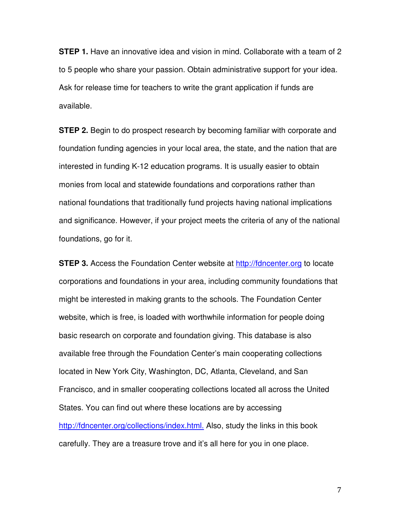**STEP 1.** Have an innovative idea and vision in mind. Collaborate with a team of 2 to 5 people who share your passion. Obtain administrative support for your idea. Ask for release time for teachers to write the grant application if funds are available.

**STEP 2.** Begin to do prospect research by becoming familiar with corporate and foundation funding agencies in your local area, the state, and the nation that are interested in funding K-12 education programs. It is usually easier to obtain monies from local and statewide foundations and corporations rather than national foundations that traditionally fund projects having national implications and significance. However, if your project meets the criteria of any of the national foundations, go for it.

**STEP 3.** Access the Foundation Center website at http://fdncenter.org to locate corporations and foundations in your area, including community foundations that might be interested in making grants to the schools. The Foundation Center website, which is free, is loaded with worthwhile information for people doing basic research on corporate and foundation giving. This database is also available free through the Foundation Center's main cooperating collections located in New York City, Washington, DC, Atlanta, Cleveland, and San Francisco, and in smaller cooperating collections located all across the United States. You can find out where these locations are by accessing http://fdncenter.org/collections/index.html. Also, study the links in this book carefully. They are a treasure trove and it's all here for you in one place.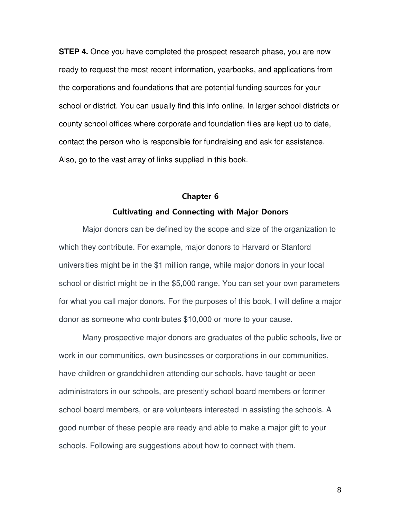**STEP 4.** Once you have completed the prospect research phase, you are now ready to request the most recent information, yearbooks, and applications from the corporations and foundations that are potential funding sources for your school or district. You can usually find this info online. In larger school districts or county school offices where corporate and foundation files are kept up to date, contact the person who is responsible for fundraising and ask for assistance. Also, go to the vast array of links supplied in this book.

# Chapter 6 Cultivating and Connecting with Major Donors

Major donors can be defined by the scope and size of the organization to which they contribute. For example, major donors to Harvard or Stanford universities might be in the \$1 million range, while major donors in your local school or district might be in the \$5,000 range. You can set your own parameters for what you call major donors. For the purposes of this book, I will define a major donor as someone who contributes \$10,000 or more to your cause.

 Many prospective major donors are graduates of the public schools, live or work in our communities, own businesses or corporations in our communities, have children or grandchildren attending our schools, have taught or been administrators in our schools, are presently school board members or former school board members, or are volunteers interested in assisting the schools. A good number of these people are ready and able to make a major gift to your schools. Following are suggestions about how to connect with them.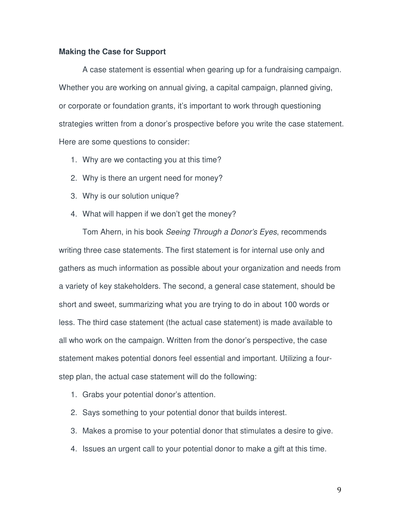## **Making the Case for Support**

 A case statement is essential when gearing up for a fundraising campaign. Whether you are working on annual giving, a capital campaign, planned giving, or corporate or foundation grants, it's important to work through questioning strategies written from a donor's prospective before you write the case statement. Here are some questions to consider:

- 1. Why are we contacting you at this time?
- 2. Why is there an urgent need for money?
- 3. Why is our solution unique?
- 4. What will happen if we don't get the money?

 Tom Ahern, in his book Seeing Through a Donor's Eyes, recommends writing three case statements. The first statement is for internal use only and gathers as much information as possible about your organization and needs from a variety of key stakeholders. The second, a general case statement, should be short and sweet, summarizing what you are trying to do in about 100 words or less. The third case statement (the actual case statement) is made available to all who work on the campaign. Written from the donor's perspective, the case statement makes potential donors feel essential and important. Utilizing a fourstep plan, the actual case statement will do the following:

- 1. Grabs your potential donor's attention.
- 2. Says something to your potential donor that builds interest.
- 3. Makes a promise to your potential donor that stimulates a desire to give.
- 4. Issues an urgent call to your potential donor to make a gift at this time.